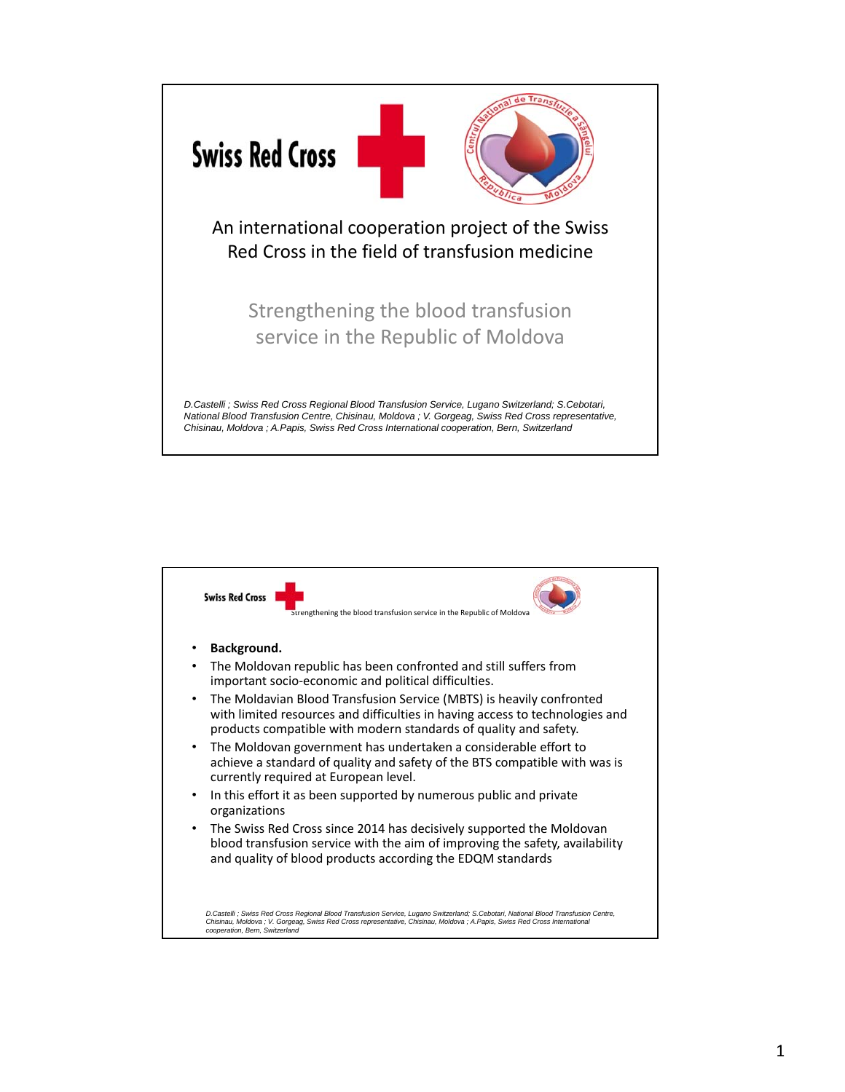

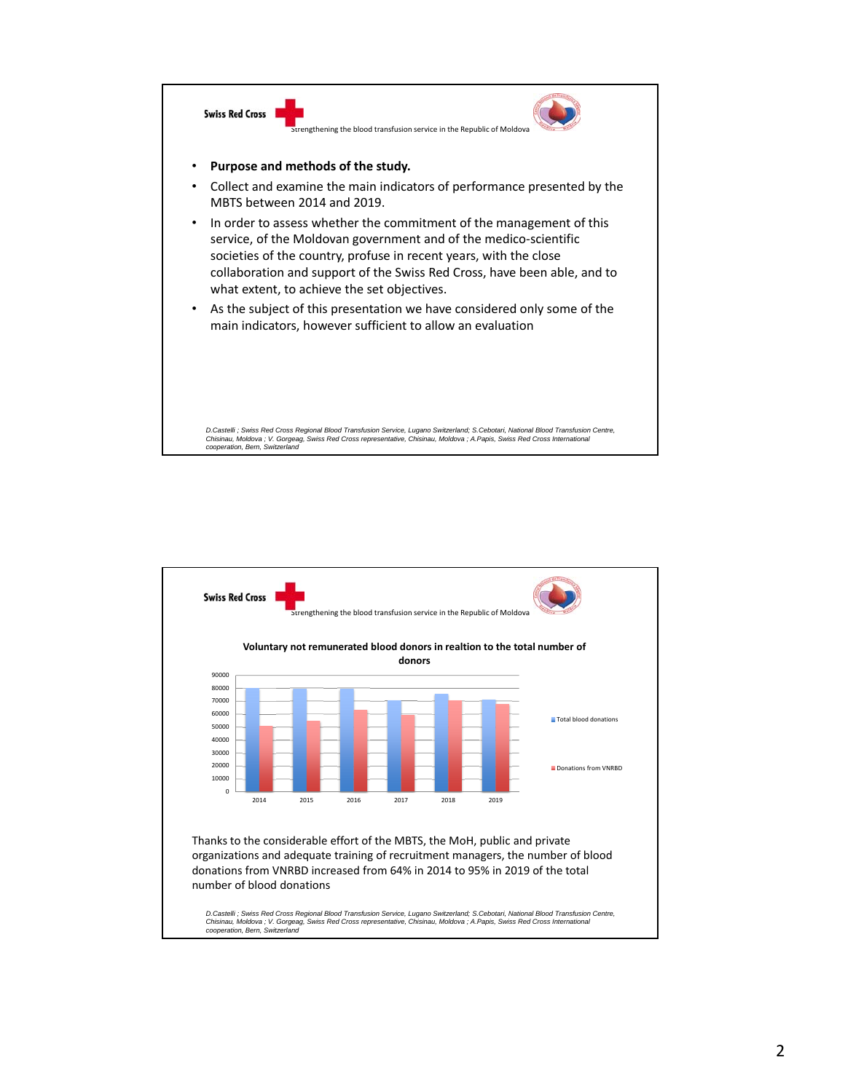

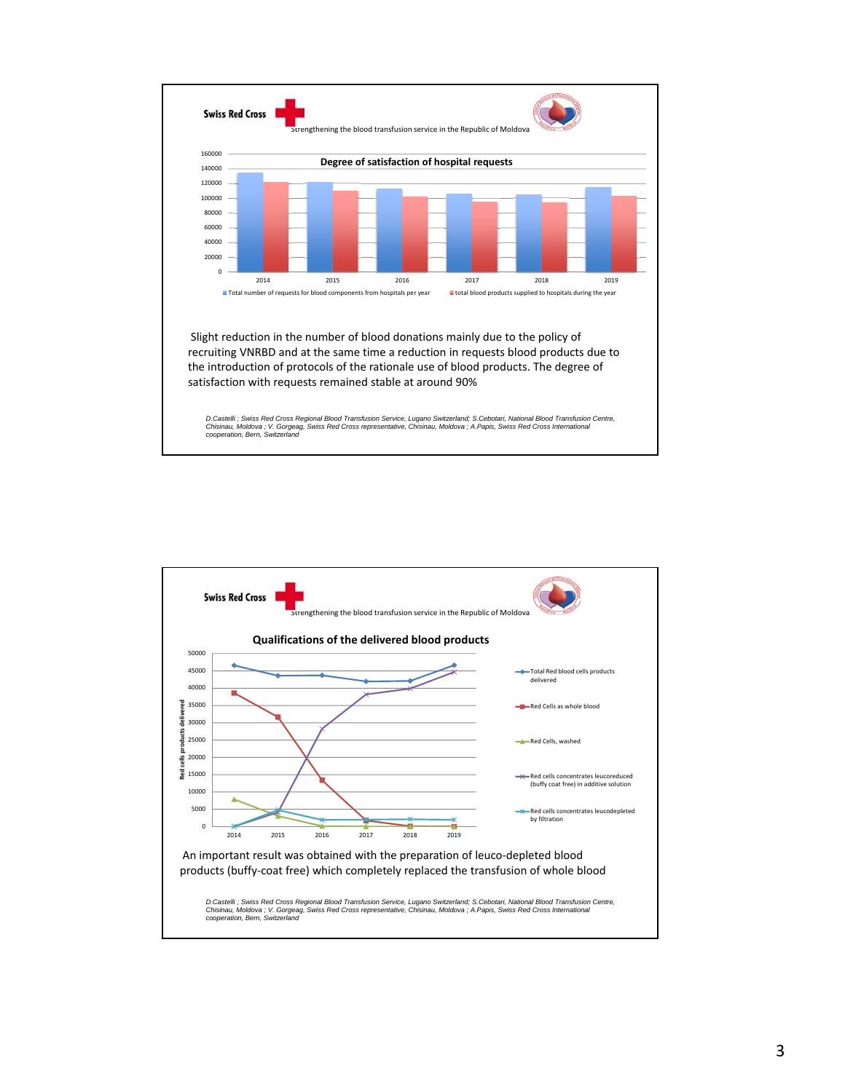

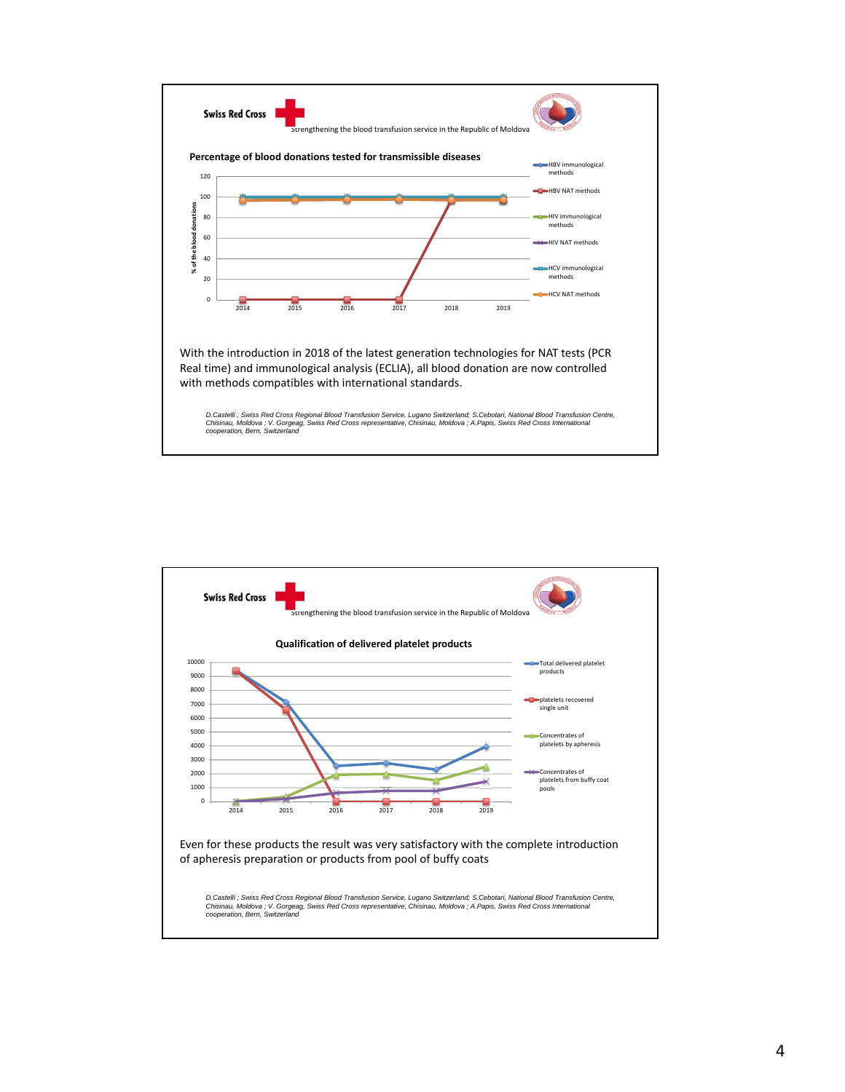

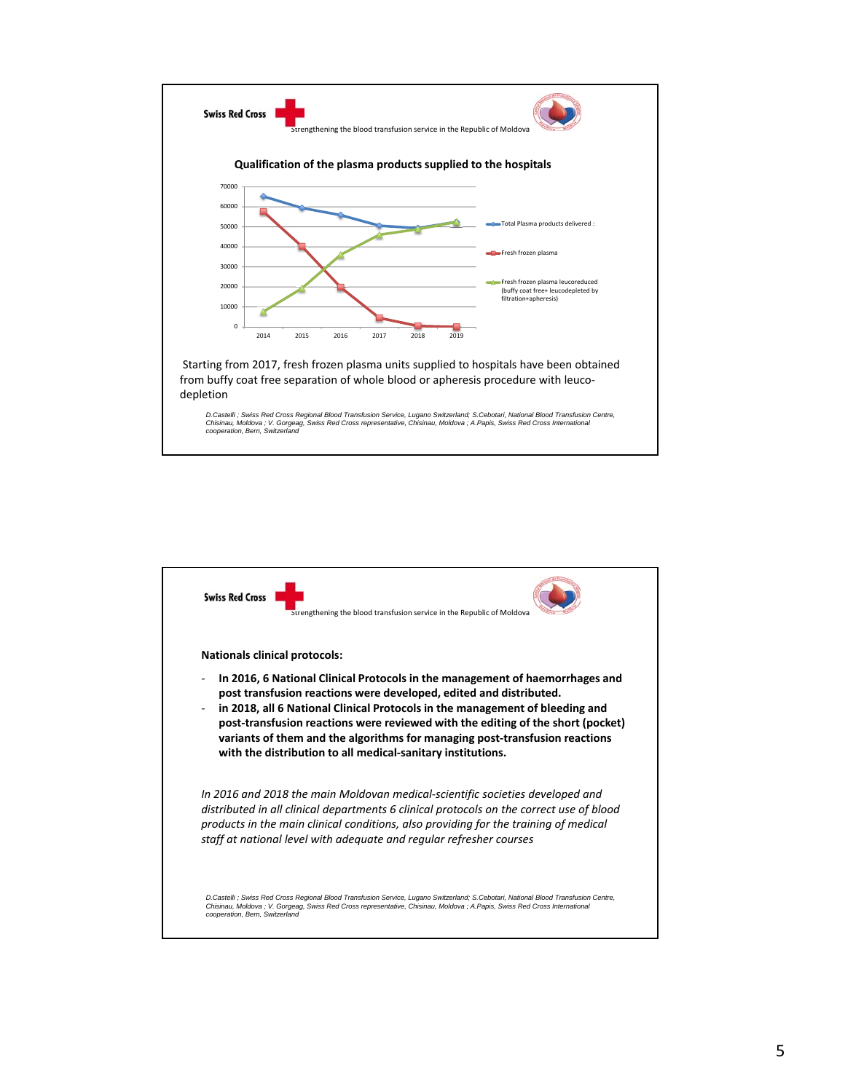

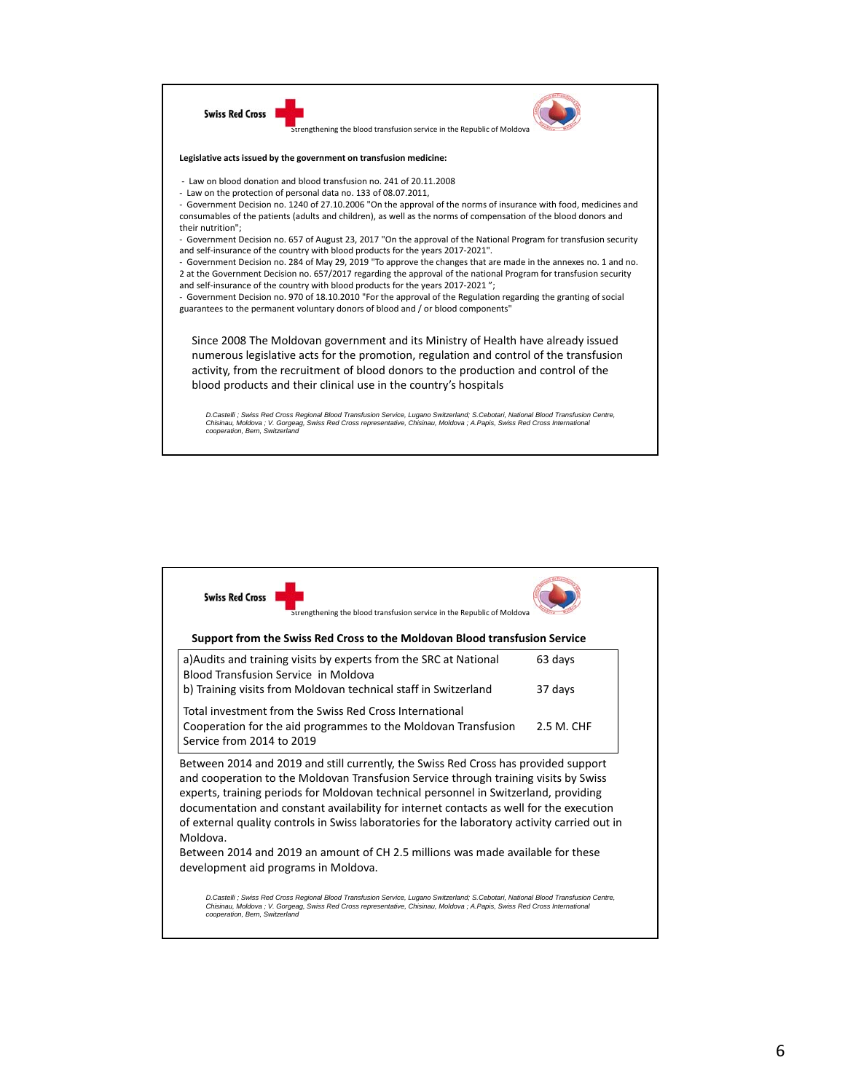